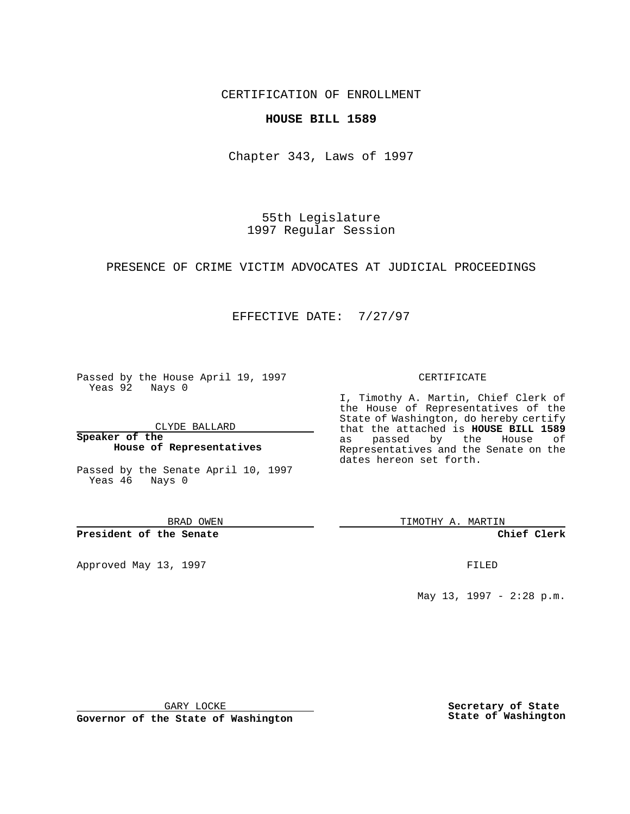CERTIFICATION OF ENROLLMENT

## **HOUSE BILL 1589**

Chapter 343, Laws of 1997

55th Legislature 1997 Regular Session

PRESENCE OF CRIME VICTIM ADVOCATES AT JUDICIAL PROCEEDINGS

## EFFECTIVE DATE: 7/27/97

Passed by the House April 19, 1997 Yeas 92 Nays 0

CLYDE BALLARD

**Speaker of the House of Representatives**

Passed by the Senate April 10, 1997 Yeas 46 Nays 0

BRAD OWEN

**President of the Senate**

Approved May 13, 1997 **FILED** 

#### CERTIFICATE

I, Timothy A. Martin, Chief Clerk of the House of Representatives of the State of Washington, do hereby certify that the attached is **HOUSE BILL 1589** as passed by the House of Representatives and the Senate on the dates hereon set forth.

TIMOTHY A. MARTIN

**Chief Clerk**

May 13, 1997 - 2:28 p.m.

GARY LOCKE

**Governor of the State of Washington**

**Secretary of State State of Washington**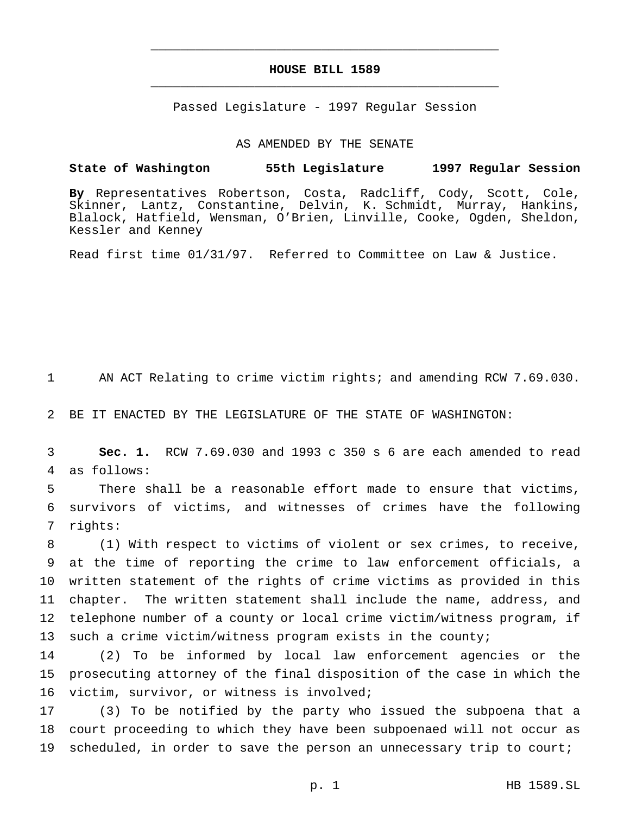# **HOUSE BILL 1589** \_\_\_\_\_\_\_\_\_\_\_\_\_\_\_\_\_\_\_\_\_\_\_\_\_\_\_\_\_\_\_\_\_\_\_\_\_\_\_\_\_\_\_\_\_\_\_

\_\_\_\_\_\_\_\_\_\_\_\_\_\_\_\_\_\_\_\_\_\_\_\_\_\_\_\_\_\_\_\_\_\_\_\_\_\_\_\_\_\_\_\_\_\_\_

Passed Legislature - 1997 Regular Session

#### AS AMENDED BY THE SENATE

# **State of Washington 55th Legislature 1997 Regular Session**

**By** Representatives Robertson, Costa, Radcliff, Cody, Scott, Cole, Skinner, Lantz, Constantine, Delvin, K. Schmidt, Murray, Hankins, Blalock, Hatfield, Wensman, O'Brien, Linville, Cooke, Ogden, Sheldon, Kessler and Kenney

Read first time 01/31/97. Referred to Committee on Law & Justice.

1 AN ACT Relating to crime victim rights; and amending RCW 7.69.030.

2 BE IT ENACTED BY THE LEGISLATURE OF THE STATE OF WASHINGTON:

3 **Sec. 1.** RCW 7.69.030 and 1993 c 350 s 6 are each amended to read 4 as follows:

5 There shall be a reasonable effort made to ensure that victims, 6 survivors of victims, and witnesses of crimes have the following 7 rights:

 (1) With respect to victims of violent or sex crimes, to receive, at the time of reporting the crime to law enforcement officials, a written statement of the rights of crime victims as provided in this chapter. The written statement shall include the name, address, and telephone number of a county or local crime victim/witness program, if such a crime victim/witness program exists in the county;

14 (2) To be informed by local law enforcement agencies or the 15 prosecuting attorney of the final disposition of the case in which the 16 victim, survivor, or witness is involved;

17 (3) To be notified by the party who issued the subpoena that a 18 court proceeding to which they have been subpoenaed will not occur as 19 scheduled, in order to save the person an unnecessary trip to court;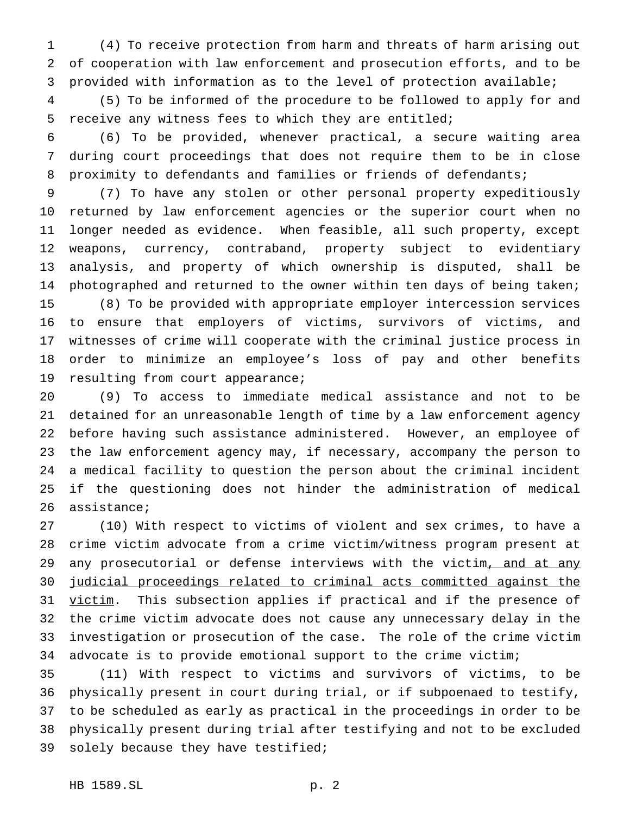(4) To receive protection from harm and threats of harm arising out of cooperation with law enforcement and prosecution efforts, and to be provided with information as to the level of protection available;

 (5) To be informed of the procedure to be followed to apply for and receive any witness fees to which they are entitled;

 (6) To be provided, whenever practical, a secure waiting area during court proceedings that does not require them to be in close 8 proximity to defendants and families or friends of defendants;

 (7) To have any stolen or other personal property expeditiously returned by law enforcement agencies or the superior court when no longer needed as evidence. When feasible, all such property, except weapons, currency, contraband, property subject to evidentiary analysis, and property of which ownership is disputed, shall be 14 photographed and returned to the owner within ten days of being taken; (8) To be provided with appropriate employer intercession services to ensure that employers of victims, survivors of victims, and witnesses of crime will cooperate with the criminal justice process in order to minimize an employee's loss of pay and other benefits resulting from court appearance;

 (9) To access to immediate medical assistance and not to be detained for an unreasonable length of time by a law enforcement agency before having such assistance administered. However, an employee of the law enforcement agency may, if necessary, accompany the person to a medical facility to question the person about the criminal incident if the questioning does not hinder the administration of medical assistance;

 (10) With respect to victims of violent and sex crimes, to have a crime victim advocate from a crime victim/witness program present at 29 any prosecutorial or defense interviews with the victim, and at any judicial proceedings related to criminal acts committed against the 31 victim. This subsection applies if practical and if the presence of the crime victim advocate does not cause any unnecessary delay in the investigation or prosecution of the case. The role of the crime victim advocate is to provide emotional support to the crime victim;

 (11) With respect to victims and survivors of victims, to be physically present in court during trial, or if subpoenaed to testify, to be scheduled as early as practical in the proceedings in order to be physically present during trial after testifying and not to be excluded solely because they have testified;